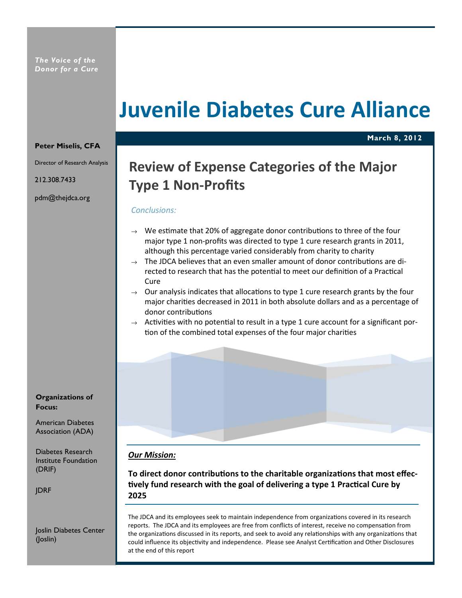# Juvenile Diabetes Cure Alliance

March 8, 2012

#### Peter Miselis, CFA

Director of Research Analysis

212.308.7433

pdm@thejdca.org

Organizations of Focus:

American Diabetes Association (ADA)

Diabetes Research Institute Foundation (DRIF)

JDRF

Joslin Diabetes Center (Joslin)

# Review of Expense Categories of the Major Type 1 Non-Profits

# Conclusions:

- $\rightarrow$  We estimate that 20% of aggregate donor contributions to three of the four major type 1 non-profits was directed to type 1 cure research grants in 2011, although this percentage varied considerably from charity to charity
- The JDCA believes that an even smaller amount of donor contributions are directed to research that has the potential to meet our definition of a Practical Cure
- $\rightarrow$  Our analysis indicates that allocations to type 1 cure research grants by the four major charities decreased in 2011 in both absolute dollars and as a percentage of donor contributions
- $\rightarrow$  Activities with no potential to result in a type 1 cure account for a significant portion of the combined total expenses of the four major charities

# Our Mission:

To direct donor contributions to the charitable organizations that most effectively fund research with the goal of delivering a type 1 Practical Cure by 2025

The JDCA and its employees seek to maintain independence from organizations covered in its research reports. The JDCA and its employees are free from conflicts of interest, receive no compensation from the organizations discussed in its reports, and seek to avoid any relationships with any organizations that could influence its objectivity and independence. Please see Analyst Certification and Other Disclosures at the end of this report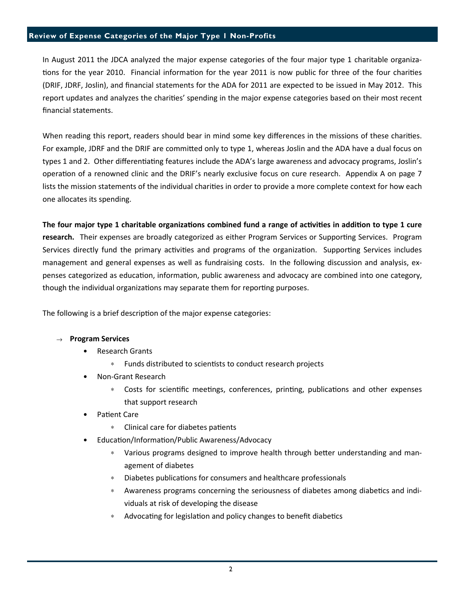# Review of Expense Categories of the Major Type 1 Non-Profits

In August 2011 the JDCA analyzed the major expense categories of the four major type 1 charitable organiza tions for the year 2010. Financial information for the year 2011 is now public for three of the four charities (DRIF, JDRF, Joslin), and financial statements for the ADA for 2011 are expected to be issued in May 2012. This report updates and analyzes the charities' spending in the major expense categories based on their most recent financial statements.

When reading this report, readers should bear in mind some key differences in the missions of these charities. For example, JDRF and the DRIF are committed only to type 1, whereas Joslin and the ADA have a dual focus on types 1 and 2. Other differentiating features include the ADA's large awareness and advocacy programs, Joslin's operation of a renowned clinic and the DRIF's nearly exclusive focus on cure research. Appendix A on page 7 lists the mission statements of the individual charities in order to provide a more complete context for how each one allocates its spending.

The four major type 1 charitable organizations combined fund a range of activities in addition to type 1 cure research. Their expenses are broadly categorized as either Program Services or Supporting Services. Program Services directly fund the primary activities and programs of the organization. Supporting Services includes management and general expenses as well as fundraising costs. In the following discussion and analysis, expenses categorized as education, information, public awareness and advocacy are combined into one category, though the individual organizations may separate them for reporting purposes.

The following is a brief description of the major expense categories:

#### $\rightarrow$  Program Services

- Research Grants
	- ∗ Funds distributed to sciensts to conduct research projects
- Non-Grant Research
	- \* Costs for scientific meetings, conferences, printing, publications and other expenses that support research
- Patient Care
	- ∗ Clinical care for diabetes patients
- Education/Information/Public Awareness/Advocacy
	- Various programs designed to improve health through better understanding and management of diabetes
	- ∗ Diabetes publications for consumers and healthcare professionals
	- \* Awareness programs concerning the seriousness of diabetes among diabetics and individuals at risk of developing the disease
	- Advocating for legislation and policy changes to benefit diabetics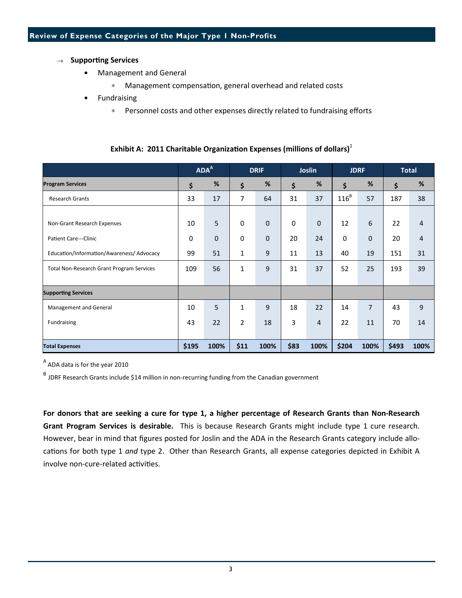# $\rightarrow$  Supporting Services

- Management and General
	- ∗ Management compensation, general overhead and related costs
- **Fundraising** 
	- ∗ Personnel costs and other expenses directly related to fundraising efforts

|                                           | ADA <sup>A</sup> |             | <b>DRIF</b>    |              | <b>Joslin</b> |                | <b>JDRF</b> |                | <b>Total</b> |      |
|-------------------------------------------|------------------|-------------|----------------|--------------|---------------|----------------|-------------|----------------|--------------|------|
| <b>Program Services</b>                   | \$               | $\%$        | \$             | %            | \$            | %              | \$          | %              | \$           | $\%$ |
| <b>Research Grants</b>                    | 33               | 17          | 7              | 64           | 31            | 37             | $116^B$     | 57             | 187          | 38   |
|                                           |                  |             |                |              |               |                |             |                |              |      |
| Non-Grant Research Expenses               | 10               | 5           | 0              | $\mathbf{0}$ | $\Omega$      | $\mathbf{0}$   | 12          | 6              | 22           | 4    |
| <b>Patient Care---Clinic</b>              | $\mathbf 0$      | $\mathbf 0$ | 0              | $\mathbf{0}$ | 20            | 24             | $\mathbf 0$ | $\mathbf{0}$   | 20           | 4    |
| Education/Information/Awareness/ Advocacy | 99               | 51          | 1              | 9            | 11            | 13             | 40          | 19             | 151          | 31   |
| Total Non-Research Grant Program Services | 109              | 56          | 1              | 9            | 31            | 37             | 52          | 25             | 193          | 39   |
|                                           |                  |             |                |              |               |                |             |                |              |      |
| <b>Supporting Services</b>                |                  |             |                |              |               |                |             |                |              |      |
| Management and General                    | 10               | 5           | 1              | 9            | 18            | 22             | 14          | $\overline{7}$ | 43           | 9    |
| Fundraising                               | 43               | 22          | $\overline{2}$ | 18           | 3             | $\overline{4}$ | 22          | 11             | 70           | 14   |
|                                           |                  |             |                |              |               |                |             |                |              |      |
| <b>Total Expenses</b>                     | \$195            | 100%        | \$11           | 100%         | \$83          | 100%           | \$204       | 100%           | \$493        | 100% |

Exhibit A: 2011 Charitable Organization Expenses (millions of dollars)<sup>1</sup>

 $A$  ADA data is for the year 2010

B<br>B JDRF Research Grants include \$14 million in non-recurring funding from the Canadian government

For donors that are seeking a cure for type 1, a higher percentage of Research Grants than Non-Research Grant Program Services is desirable. This is because Research Grants might include type 1 cure research. However, bear in mind that figures posted for Joslin and the ADA in the Research Grants category include allocations for both type 1 and type 2. Other than Research Grants, all expense categories depicted in Exhibit A involve non-cure-related activities.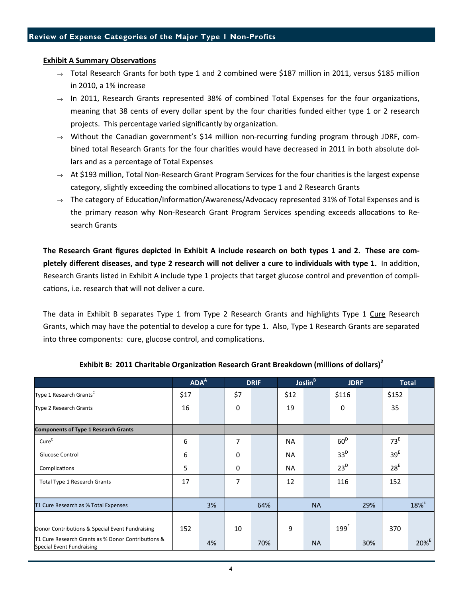#### **Exhibit A Summary Observations**

- $\rightarrow$  Total Research Grants for both type 1 and 2 combined were \$187 million in 2011, versus \$185 million in 2010, a 1% increase
- $\rightarrow$  In 2011, Research Grants represented 38% of combined Total Expenses for the four organizations, meaning that 38 cents of every dollar spent by the four charities funded either type 1 or 2 research projects. This percentage varied significantly by organization.
- $\rightarrow$  Without the Canadian government's \$14 million non-recurring funding program through JDRF, combined total Research Grants for the four charities would have decreased in 2011 in both absolute dollars and as a percentage of Total Expenses
- $\rightarrow$  At \$193 million, Total Non-Research Grant Program Services for the four charities is the largest expense category, slightly exceeding the combined allocations to type 1 and 2 Research Grants
- $\rightarrow$  The category of Education/Information/Awareness/Advocacy represented 31% of Total Expenses and is the primary reason why Non-Research Grant Program Services spending exceeds allocations to Research Grants

The Research Grant figures depicted in Exhibit A include research on both types 1 and 2. These are completely different diseases, and type 2 research will not deliver a cure to individuals with type 1. In addition, Research Grants listed in Exhibit A include type 1 projects that target glucose control and prevention of complications, i.e. research that will not deliver a cure.

The data in Exhibit B separates Type 1 from Type 2 Research Grants and highlights Type 1 Cure Research Grants, which may have the potential to develop a cure for type 1. Also, Type 1 Research Grants are separated into three components: cure, glucose control, and complications.

|                                                                                        | ADA <sup>A</sup> |    | <b>DRIF</b> |     | Joslin <sup>B</sup> |           | <b>JDRF</b>      |     | <b>Total</b>        |                     |
|----------------------------------------------------------------------------------------|------------------|----|-------------|-----|---------------------|-----------|------------------|-----|---------------------|---------------------|
| Type 1 Research Grants <sup>C</sup>                                                    | \$17             |    | \$7         |     | \$12                |           | \$116            |     | \$152               |                     |
| Type 2 Research Grants                                                                 | 16               |    | 0           |     | 19                  |           | 0                |     | 35                  |                     |
| <b>Components of Type 1 Research Grants</b>                                            |                  |    |             |     |                     |           |                  |     |                     |                     |
| Cure <sup>C</sup>                                                                      | 6                |    | 7           |     | <b>NA</b>           |           | 60 <sup>D</sup>  |     | 73 <sup>E</sup>     |                     |
| Glucose Control                                                                        | 6                |    | 0           |     | <b>NA</b>           |           | 33 <sup>D</sup>  |     | 39 <sup>E</sup>     |                     |
| Complications                                                                          | 5                |    | 0           |     | <b>NA</b>           |           | $23^D$           |     | 28 <sup>E</sup>     |                     |
| <b>Total Type 1 Research Grants</b>                                                    | 17               |    | 7           |     | 12                  |           | 116              |     | 152                 |                     |
| T1 Cure Research as % Total Expenses                                                   | 3%               |    | 64%         |     | <b>NA</b>           |           | 29%              |     | $18\%$ <sup>E</sup> |                     |
|                                                                                        |                  |    |             |     |                     |           |                  |     |                     |                     |
| Donor Contributions & Special Event Fundraising                                        | 152              |    | 10          |     | 9                   |           | 199 <sup>F</sup> |     | 370                 |                     |
| T1 Cure Research Grants as % Donor Contributions &<br><b>Special Event Fundraising</b> |                  | 4% |             | 70% |                     | <b>NA</b> |                  | 30% |                     | $20\%$ <sup>E</sup> |

# Exhibit B: 2011 Charitable Organization Research Grant Breakdown (millions of dollars)<sup>2</sup>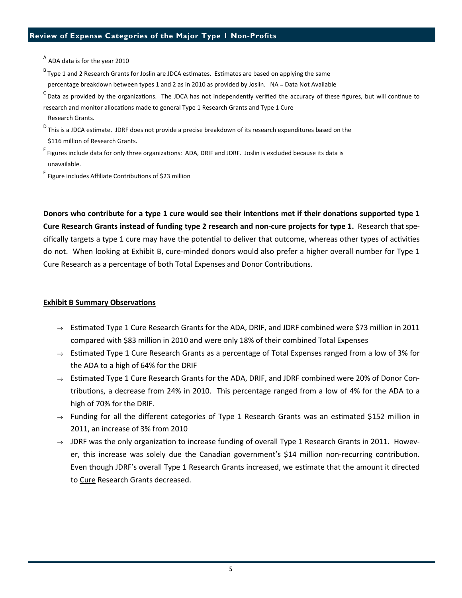# Review of Expense Categories of the Major Type 1 Non-Profits

<sup>A</sup> ADA data is for the year 2010

 $B$  Type 1 and 2 Research Grants for Joslin are JDCA estimates. Estimates are based on applying the same percentage breakdown between types 1 and 2 as in 2010 as provided by Joslin. NA = Data Not Available

 $c$  Data as provided by the organizations. The JDCA has not independently verified the accuracy of these figures, but will continue to research and monitor allocations made to general Type 1 Research Grants and Type 1 Cure

Research Grants.

D This is a JDCA estimate. JDRF does not provide a precise breakdown of its research expenditures based on the \$116 million of Research Grants.

E Figures include data for only three organizations: ADA, DRIF and JDRF. Joslin is excluded because its data is unavailable.

<sup>F</sup> Figure includes Affiliate Contributions of \$23 million

Donors who contribute for a type 1 cure would see their intentions met if their donations supported type 1 Cure Research Grants instead of funding type 2 research and non-cure projects for type 1. Research that specifically targets a type 1 cure may have the potential to deliver that outcome, whereas other types of activities do not. When looking at Exhibit B, cure-minded donors would also prefer a higher overall number for Type 1 Cure Research as a percentage of both Total Expenses and Donor Contributions.

### **Exhibit B Summary Observations**

- $\rightarrow$  Estimated Type 1 Cure Research Grants for the ADA, DRIF, and JDRF combined were \$73 million in 2011 compared with \$83 million in 2010 and were only 18% of their combined Total Expenses
- $\rightarrow$  Estimated Type 1 Cure Research Grants as a percentage of Total Expenses ranged from a low of 3% for the ADA to a high of 64% for the DRIF
- $\rightarrow$  Estimated Type 1 Cure Research Grants for the ADA, DRIF, and JDRF combined were 20% of Donor Contributions, a decrease from 24% in 2010. This percentage ranged from a low of 4% for the ADA to a high of 70% for the DRIF.
- $\rightarrow$  Funding for all the different categories of Type 1 Research Grants was an estimated \$152 million in 2011, an increase of 3% from 2010
- $\rightarrow$  JDRF was the only organization to increase funding of overall Type 1 Research Grants in 2011. However, this increase was solely due the Canadian government's \$14 million non-recurring contribution. Even though JDRF's overall Type 1 Research Grants increased, we estimate that the amount it directed to Cure Research Grants decreased.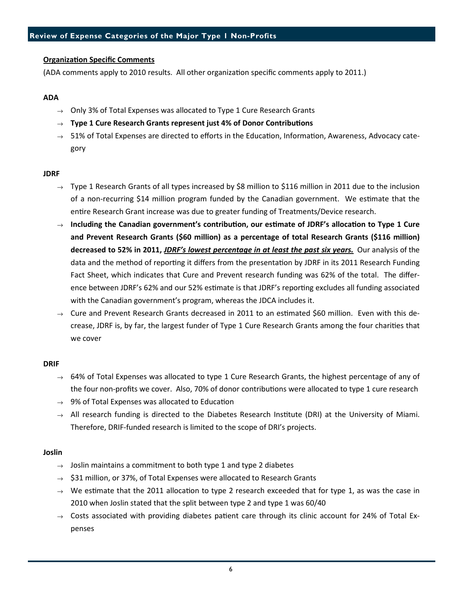# **Organization Specific Comments**

(ADA comments apply to 2010 results. All other organization specific comments apply to 2011.)

#### ADA

- $\rightarrow$  Only 3% of Total Expenses was allocated to Type 1 Cure Research Grants
- $\rightarrow$  Type 1 Cure Research Grants represent just 4% of Donor Contributions
- $\rightarrow$  51% of Total Expenses are directed to efforts in the Education, Information, Awareness, Advocacy category

#### **JDRF**

- $\rightarrow$  Type 1 Research Grants of all types increased by \$8 million to \$116 million in 2011 due to the inclusion of a non-recurring \$14 million program funded by the Canadian government. We estimate that the entire Research Grant increase was due to greater funding of Treatments/Device research.
- $\rightarrow$  Including the Canadian government's contribution, our estimate of JDRF's allocation to Type 1 Cure and Prevent Research Grants (\$60 million) as a percentage of total Research Grants (\$116 million) decreased to 52% in 2011, JDRF's lowest percentage in at least the past six years. Our analysis of the data and the method of reporting it differs from the presentation by JDRF in its 2011 Research Funding Fact Sheet, which indicates that Cure and Prevent research funding was 62% of the total. The difference between JDRF's 62% and our 52% estimate is that JDRF's reporting excludes all funding associated with the Canadian government's program, whereas the JDCA includes it.
- $\rightarrow$  Cure and Prevent Research Grants decreased in 2011 to an estimated \$60 million. Even with this decrease, JDRF is, by far, the largest funder of Type 1 Cure Research Grants among the four charities that we cover

#### DRIF

- $\rightarrow$  64% of Total Expenses was allocated to type 1 Cure Research Grants, the highest percentage of any of the four non-profits we cover. Also, 70% of donor contributions were allocated to type 1 cure research
- $\rightarrow$  9% of Total Expenses was allocated to Education
- $\rightarrow$  All research funding is directed to the Diabetes Research Institute (DRI) at the University of Miami. Therefore, DRIF-funded research is limited to the scope of DRI's projects.

#### Joslin

- $\rightarrow$  Joslin maintains a commitment to both type 1 and type 2 diabetes
- $\rightarrow$  \$31 million, or 37%, of Total Expenses were allocated to Research Grants
- $\rightarrow$  We estimate that the 2011 allocation to type 2 research exceeded that for type 1, as was the case in 2010 when Joslin stated that the split between type 2 and type 1 was 60/40
- $\rightarrow$  Costs associated with providing diabetes patient care through its clinic account for 24% of Total Expenses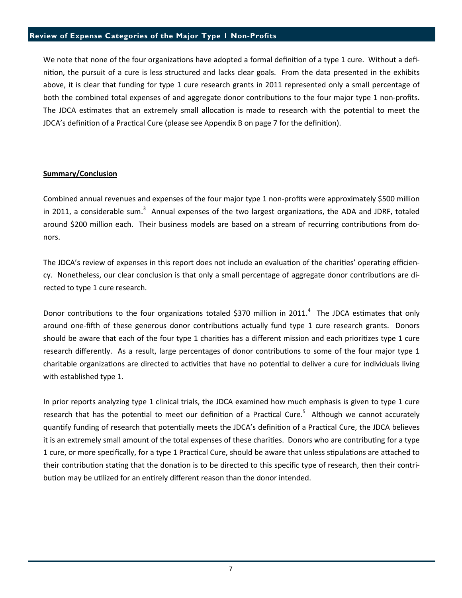#### Review of Expense Categories of the Major Type 1 Non-Profits

We note that none of the four organizations have adopted a formal definition of a type 1 cure. Without a definition, the pursuit of a cure is less structured and lacks clear goals. From the data presented in the exhibits above, it is clear that funding for type 1 cure research grants in 2011 represented only a small percentage of both the combined total expenses of and aggregate donor contributions to the four major type 1 non-profits. The JDCA estimates that an extremely small allocation is made to research with the potential to meet the JDCA's definition of a Practical Cure (please see Appendix B on page 7 for the definition).

#### Summary/Conclusion

Combined annual revenues and expenses of the four major type 1 non-profits were approximately \$500 million in 2011, a considerable sum.<sup>3</sup> Annual expenses of the two largest organizations, the ADA and JDRF, totaled around \$200 million each. Their business models are based on a stream of recurring contributions from donors.

The JDCA's review of expenses in this report does not include an evaluation of the charities' operating efficiency. Nonetheless, our clear conclusion is that only a small percentage of aggregate donor contributions are directed to type 1 cure research.

Donor contributions to the four organizations totaled \$370 million in 2011.<sup>4</sup> The JDCA estimates that only around one-fifth of these generous donor contributions actually fund type 1 cure research grants. Donors should be aware that each of the four type 1 charities has a different mission and each prioritizes type 1 cure research differently. As a result, large percentages of donor contributions to some of the four major type 1 charitable organizations are directed to activities that have no potential to deliver a cure for individuals living with established type 1.

In prior reports analyzing type 1 clinical trials, the JDCA examined how much emphasis is given to type 1 cure research that has the potential to meet our definition of a Practical Cure.<sup>5</sup> Although we cannot accurately quantify funding of research that potentially meets the JDCA's definition of a Practical Cure, the JDCA believes it is an extremely small amount of the total expenses of these charities. Donors who are contributing for a type 1 cure, or more specifically, for a type 1 Practical Cure, should be aware that unless stipulations are attached to their contribution stating that the donation is to be directed to this specific type of research, then their contribution may be utilized for an entirely different reason than the donor intended.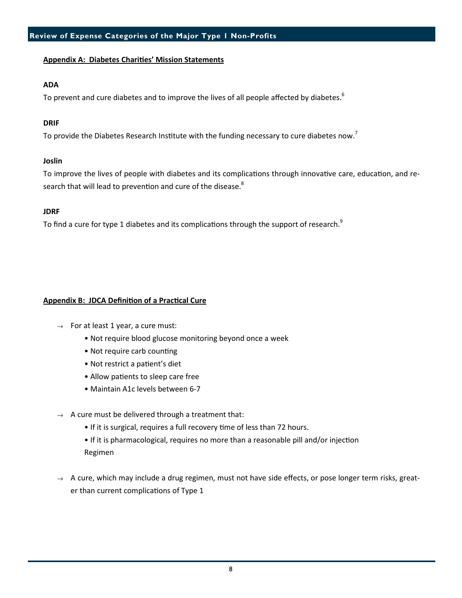# Appendix A: Diabetes Charities' Mission Statements

# ADA

To prevent and cure diabetes and to improve the lives of all people affected by diabetes.<sup>6</sup>

# DRIF

To provide the Diabetes Research Institute with the funding necessary to cure diabetes now.<sup>7</sup>

# Joslin

To improve the lives of people with diabetes and its complications through innovative care, education, and research that will lead to prevention and cure of the disease.<sup>8</sup>

# **JDRF**

To find a cure for type 1 diabetes and its complications through the support of research.<sup>9</sup>

# Appendix B: JDCA Definition of a Practical Cure

- $\rightarrow$  For at least 1 year, a cure must:
	- Not require blood glucose monitoring beyond once a week
	- Not require carb counting
	- Not restrict a patient's diet
	- Allow patients to sleep care free
	- Maintain A1c levels between 6-7
- $\rightarrow$  A cure must be delivered through a treatment that:
	- If it is surgical, requires a full recovery time of less than 72 hours.
	- If it is pharmacological, requires no more than a reasonable pill and/or injection Regimen
- $\rightarrow$  A cure, which may include a drug regimen, must not have side effects, or pose longer term risks, greater than current complications of Type 1